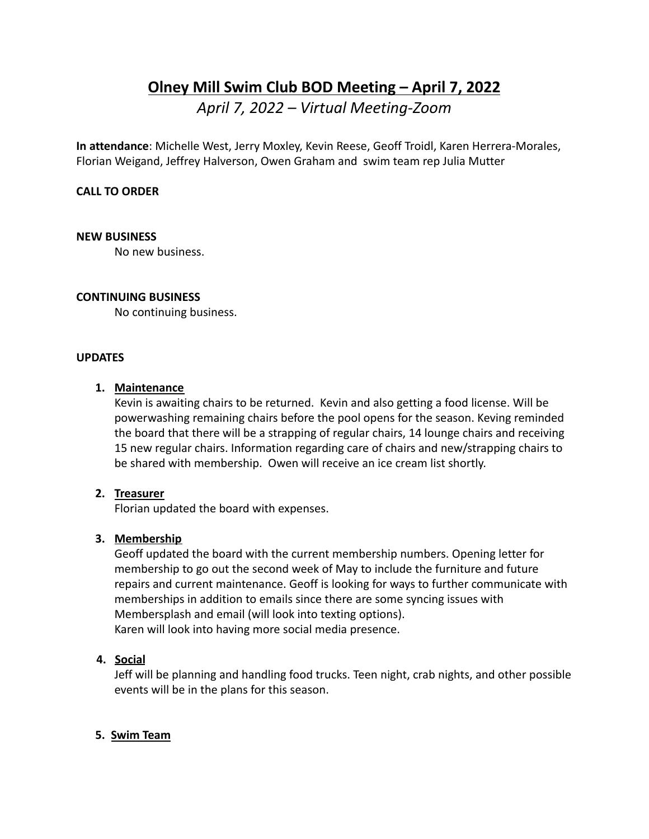# **Olney Mill Swim Club BOD Meeting – April 7, 2022**

*April 7, 2022 – Virtual Meeting-Zoom*

**In attendance**: Michelle West, Jerry Moxley, Kevin Reese, Geoff Troidl, Karen Herrera-Morales, Florian Weigand, Jeffrey Halverson, Owen Graham and swim team rep Julia Mutter

## **CALL TO ORDER**

#### **NEW BUSINESS**

No new business.

## **CONTINUING BUSINESS**

No continuing business.

#### **UPDATES**

## **1. Maintenance**

Kevin is awaiting chairs to be returned. Kevin and also getting a food license. Will be powerwashing remaining chairs before the pool opens for the season. Keving reminded the board that there will be a strapping of regular chairs, 14 lounge chairs and receiving 15 new regular chairs. Information regarding care of chairs and new/strapping chairs to be shared with membership. Owen will receive an ice cream list shortly.

## **2. Treasurer**

Florian updated the board with expenses.

## **3. Membership**

Geoff updated the board with the current membership numbers. Opening letter for membership to go out the second week of May to include the furniture and future repairs and current maintenance. Geoff is looking for ways to further communicate with memberships in addition to emails since there are some syncing issues with Membersplash and email (will look into texting options). Karen will look into having more social media presence.

## **4. Social**

Jeff will be planning and handling food trucks. Teen night, crab nights, and other possible events will be in the plans for this season.

## **5. Swim Team**